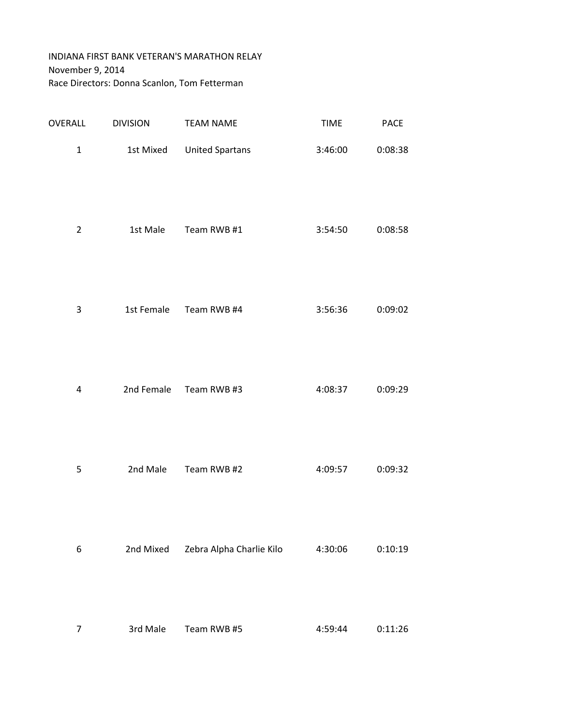## INDIANA FIRST BANK VETERAN'S MARATHON RELAY November 9, 2014 Race Directors: Donna Scanlon, Tom Fetterman

| OVERALL        | <b>DIVISION</b> | <b>TEAM NAME</b>         | <b>TIME</b> | PACE    |
|----------------|-----------------|--------------------------|-------------|---------|
| $\mathbf{1}$   | 1st Mixed       | <b>United Spartans</b>   | 3:46:00     | 0:08:38 |
| $\overline{2}$ | 1st Male        | Team RWB #1              | 3:54:50     | 0:08:58 |
| $\mathsf 3$    | 1st Female      | Team RWB #4              | 3:56:36     | 0:09:02 |
| 4              | 2nd Female      | Team RWB #3              | 4:08:37     | 0:09:29 |
| 5              | 2nd Male        | Team RWB #2              | 4:09:57     | 0:09:32 |
| 6              | 2nd Mixed       | Zebra Alpha Charlie Kilo | 4:30:06     | 0:10:19 |
| $\overline{7}$ | 3rd Male        | Team RWB #5              | 4:59:44     | 0:11:26 |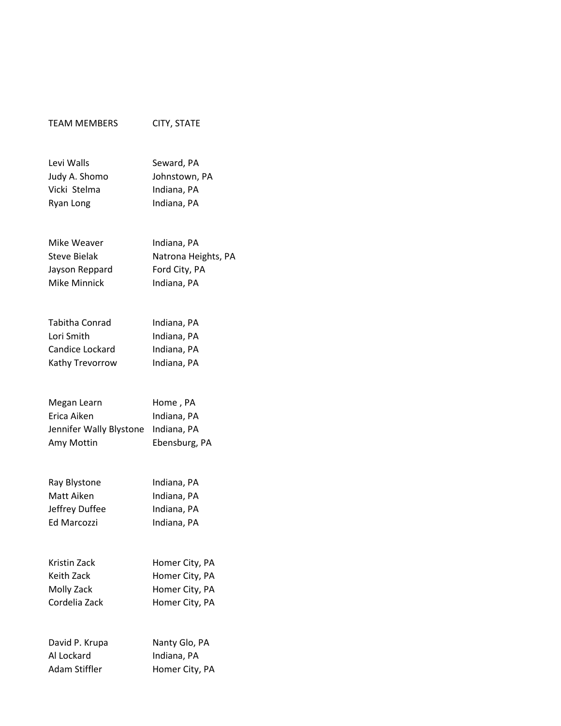| <b>TEAM MEMBERS</b>          | CITY, STATE                  |
|------------------------------|------------------------------|
| Levi Walls                   | Seward, PA                   |
| Judy A. Shomo                | Johnstown, PA                |
| Vicki Stelma                 | Indiana, PA                  |
| Ryan Long                    | Indiana, PA                  |
| Mike Weaver                  | Indiana, PA                  |
| <b>Steve Bielak</b>          | Natrona Heights, PA          |
| Jayson Reppard               | Ford City, PA                |
| <b>Mike Minnick</b>          | Indiana, PA                  |
|                              |                              |
| Tabitha Conrad               | Indiana, PA                  |
| Lori Smith                   | Indiana, PA                  |
| Candice Lockard              | Indiana, PA                  |
| Kathy Trevorrow              | Indiana, PA                  |
| Megan Learn                  | Home, PA                     |
| Erica Aiken                  | Indiana, PA                  |
| Jennifer Wally Blystone      | Indiana, PA                  |
| Amy Mottin                   | Ebensburg, PA                |
|                              |                              |
| Ray Blystone                 | Indiana, PA                  |
| Matt Aiken<br>Jeffrey Duffee | Indiana, PA<br>Indiana, PA   |
| <b>Ed Marcozzi</b>           | Indiana, PA                  |
|                              |                              |
| Kristin Zack                 | Homer City, PA               |
| Keith Zack                   | Homer City, PA               |
| Molly Zack                   | Homer City, PA               |
| Cordelia Zack                | Homer City, PA               |
|                              |                              |
| David P. Krupa<br>Al Lockard | Nanty Glo, PA<br>Indiana, PA |
|                              |                              |

Adam Stiffler Homer City, PA